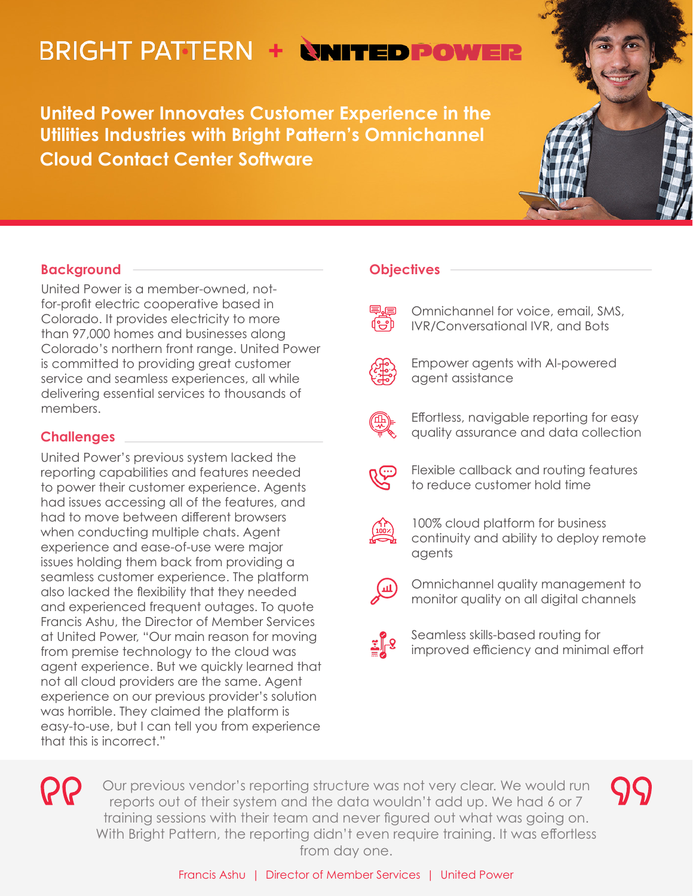# **BRIGHT PATTERN + NNITED POWER**

**United Power Innovates Customer Experience in the Utilities Industries with Bright Pattern's Omnichannel Cloud Contact Center Software**

## **Background**

United Power is a member-owned, notfor-profit electric cooperative based in Colorado. It provides electricity to more than 97,000 homes and businesses along Colorado's northern front range. United Power is committed to providing great customer service and seamless experiences, all while delivering essential services to thousands of members.

## **Challenges**

United Power's previous system lacked the reporting capabilities and features needed to power their customer experience. Agents had issues accessing all of the features, and had to move between different browsers when conducting multiple chats. Agent experience and ease-of-use were major issues holding them back from providing a seamless customer experience. The platform also lacked the flexibility that they needed and experienced frequent outages. To quote Francis Ashu, the Director of Member Services at United Power, "Our main reason for moving from premise technology to the cloud was agent experience. But we quickly learned that not all cloud providers are the same. Agent experience on our previous provider's solution was horrible. They claimed the platform is easy-to-use, but I can tell you from experience that this is incorrect."

## **Objectives**

Omnichannel for voice, email, SMS, IVR/Conversational IVR, and Bots



Empower agents with AI-powered agent assistance



- Flexible callback and routing features to reduce customer hold time
- 
- - 100% cloud platform for business continuity and ability to deploy remote agents
	- Omnichannel quality management to monitor quality on all digital channels
	- Seamless skills-based routing for improved efficiency and minimal effort

**QQ** 

Our previous vendor's reporting structure was not very clear. We would run reports out of their system and the data wouldn't add up. We had 6 or 7 training sessions with their team and never figured out what was going on. With Bright Pattern, the reporting didn't even require training. It was effortless from day one.